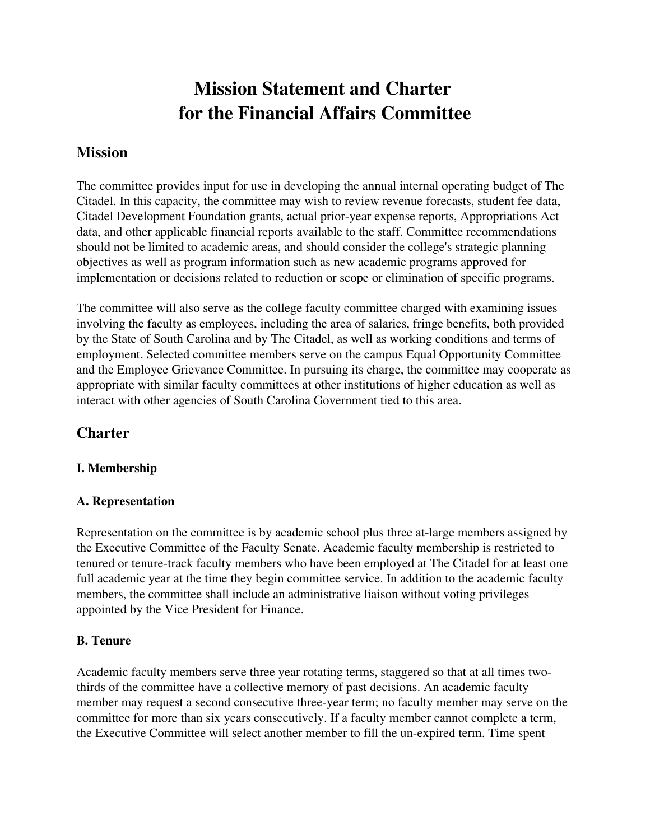# Mission Statement and Charter for the Financial Affairs Committee

## Mission

The committee provides input for use in developing the annual internal operating budget of The Citadel. In this capacity, the committee may wish to review revenue forecasts, student fee data, Citadel Development Foundation grants, actual prior-year expense reports, Appropriations Act data, and other applicable financial reports available to the staff. Committee recommendations should not be limited to academic areas, and should consider the college's strategic planning objectives as well as program information such as new academic programs approved for implementation or decisions related to reduction or scope or elimination of specific programs.

The committee will also serve as the college faculty committee charged with examining issues involving the faculty as employees, including the area of salaries, fringe benefits, both provided by the State of South Carolina and by The Citadel, as well as working conditions and terms of employment. Selected committee members serve on the campus Equal Opportunity Committee and the Employee Grievance Committee. In pursuing its charge, the committee may cooperate as appropriate with similar faculty committees at other institutions of higher education as well as interact with other agencies of South Carolina Government tied to this area.

## **Charter**

#### I. Membership

#### A. Representation

Representation on the committee is by academic school plus three at-large members assigned by the Executive Committee of the Faculty Senate. Academic faculty membership is restricted to tenured or tenure-track faculty members who have been employed at The Citadel for at least one full academic year at the time they begin committee service. In addition to the academic faculty members, the committee shall include an administrative liaison without voting privileges appointed by the Vice President for Finance.

#### B. Tenure

Academic faculty members serve three year rotating terms, staggered so that at all times twothirds of the committee have a collective memory of past decisions. An academic faculty member may request a second consecutive three-year term; no faculty member may serve on the committee for more than six years consecutively. If a faculty member cannot complete a term, the Executive Committee will select another member to fill the un-expired term. Time spent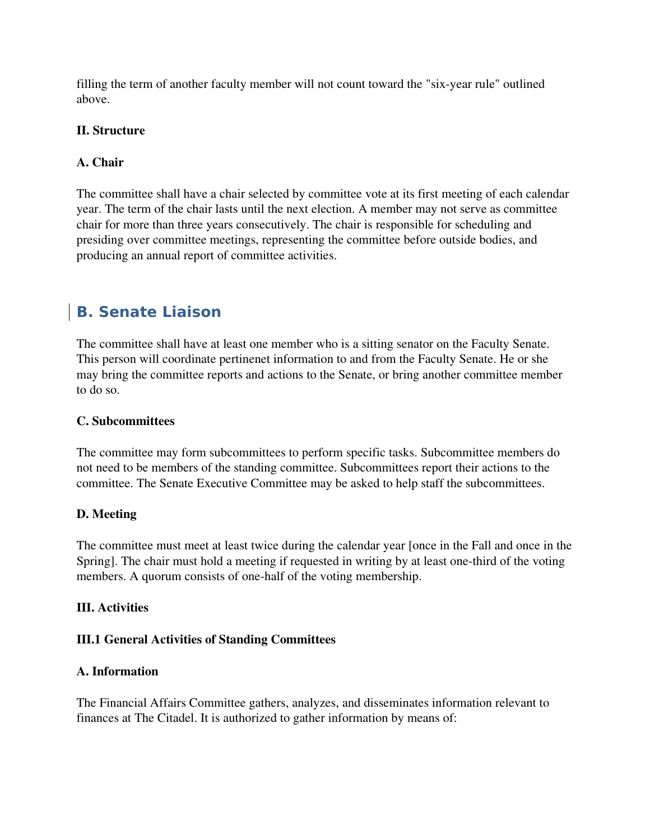filling the term of another faculty member will not count toward the "six-year rule" outlined above.

#### II. Structure

#### A. Chair

The committee shall have a chair selected by committee vote at its first meeting of each calendar year. The term of the chair lasts until the next election. A member may not serve as committee chair for more than three years consecutively. The chair is responsible for scheduling and presiding over committee meetings, representing the committee before outside bodies, and producing an annual report of committee activities.

## **B. Senate Liaison**

The committee shall have at least one member who is a sitting senator on the Faculty Senate. This person will coordinate pertinenet information to and from the Faculty Senate. He or she may bring the committee reports and actions to the Senate, or bring another committee member to do so.

#### C. Subcommittees

The committee may form subcommittees to perform specific tasks. Subcommittee members do not need to be members of the standing committee. Subcommittees report their actions to the committee. The Senate Executive Committee may be asked to help staff the subcommittees.

#### D. Meeting

The committee must meet at least twice during the calendar year [once in the Fall and once in the Spring]. The chair must hold a meeting if requested in writing by at least one-third of the voting members. A quorum consists of one-half of the voting membership.

#### III. Activities

#### III.1 General Activities of Standing Committees

#### A. Information

The Financial Affairs Committee gathers, analyzes, and disseminates information relevant to finances at The Citadel. It is authorized to gather information by means of: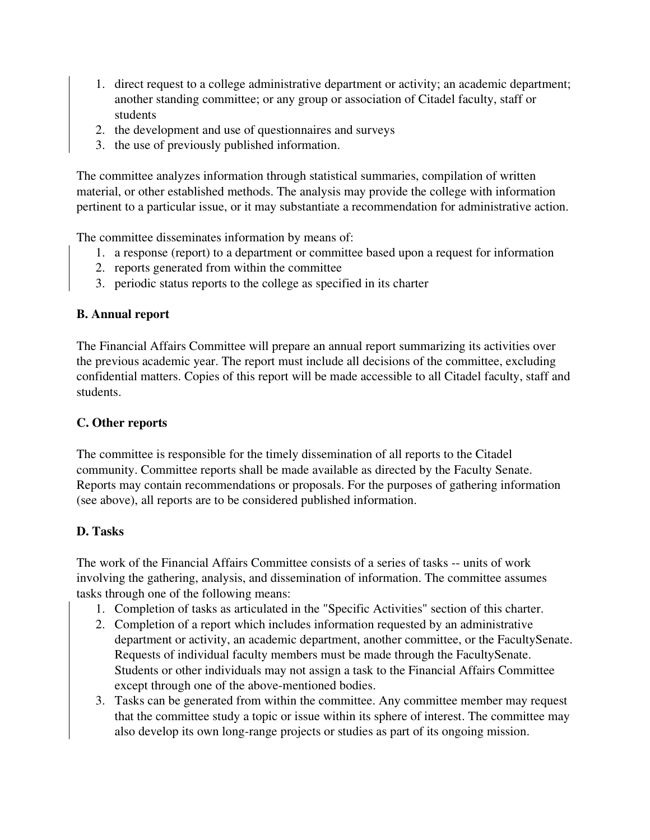- 1. direct request to a college administrative department or activity; an academic department; another standing committee; or any group or association of Citadel faculty, staff or students
- 2. the development and use of questionnaires and surveys
- 3. the use of previously published information.

The committee analyzes information through statistical summaries, compilation of written material, or other established methods. The analysis may provide the college with information pertinent to a particular issue, or it may substantiate a recommendation for administrative action.

The committee disseminates information by means of:

- 1. a response (report) to a department or committee based upon a request for information
- 2. reports generated from within the committee
- 3. periodic status reports to the college as specified in its charter

#### B. Annual report

The Financial Affairs Committee will prepare an annual report summarizing its activities over the previous academic year. The report must include all decisions of the committee, excluding confidential matters. Copies of this report will be made accessible to all Citadel faculty, staff and students.

#### C. Other reports

The committee is responsible for the timely dissemination of all reports to the Citadel community. Committee reports shall be made available as directed by the Faculty Senate. Reports may contain recommendations or proposals. For the purposes of gathering information (see above), all reports are to be considered published information.

## D. Tasks

The work of the Financial Affairs Committee consists of a series of tasks -- units of work involving the gathering, analysis, and dissemination of information. The committee assumes tasks through one of the following means:

- 1. Completion of tasks as articulated in the "Specific Activities" section of this charter.
- 2. Completion of a report which includes information requested by an administrative department or activity, an academic department, another committee, or the FacultySenate. Requests of individual faculty members must be made through the FacultySenate. Students or other individuals may not assign a task to the Financial Affairs Committee except through one of the above-mentioned bodies.
- 3. Tasks can be generated from within the committee. Any committee member may request that the committee study a topic or issue within its sphere of interest. The committee may also develop its own long-range projects or studies as part of its ongoing mission.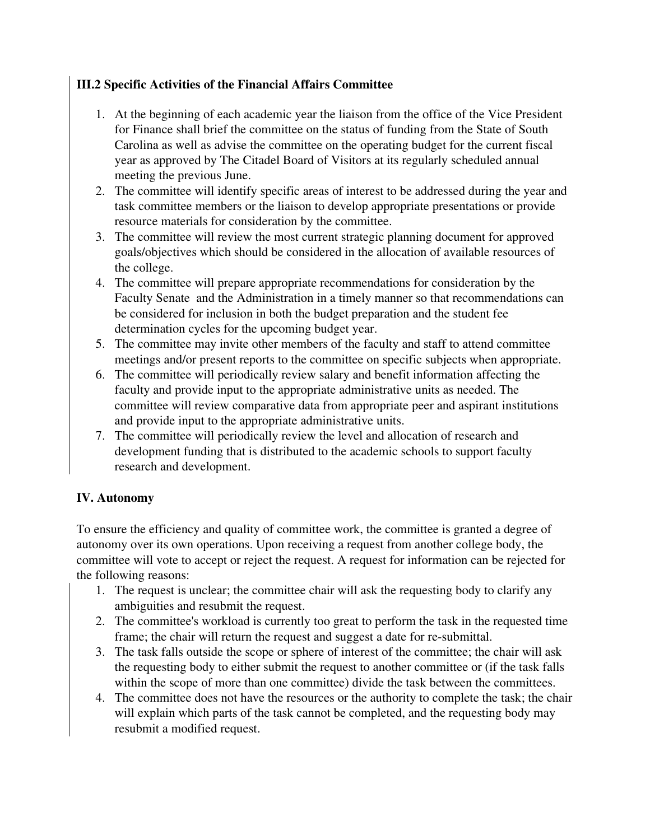## III.2 Specific Activities of the Financial Affairs Committee

- 1. At the beginning of each academic year the liaison from the office of the Vice President for Finance shall brief the committee on the status of funding from the State of South Carolina as well as advise the committee on the operating budget for the current fiscal year as approved by The Citadel Board of Visitors at its regularly scheduled annual meeting the previous June.
- 2. The committee will identify specific areas of interest to be addressed during the year and task committee members or the liaison to develop appropriate presentations or provide resource materials for consideration by the committee.
- 3. The committee will review the most current strategic planning document for approved goals/objectives which should be considered in the allocation of available resources of the college.
- 4. The committee will prepare appropriate recommendations for consideration by the Faculty Senate and the Administration in a timely manner so that recommendations can be considered for inclusion in both the budget preparation and the student fee determination cycles for the upcoming budget year.
- 5. The committee may invite other members of the faculty and staff to attend committee meetings and/or present reports to the committee on specific subjects when appropriate.
- 6. The committee will periodically review salary and benefit information affecting the faculty and provide input to the appropriate administrative units as needed. The committee will review comparative data from appropriate peer and aspirant institutions and provide input to the appropriate administrative units.
- 7. The committee will periodically review the level and allocation of research and development funding that is distributed to the academic schools to support faculty research and development.

## IV. Autonomy

To ensure the efficiency and quality of committee work, the committee is granted a degree of autonomy over its own operations. Upon receiving a request from another college body, the committee will vote to accept or reject the request. A request for information can be rejected for the following reasons:

- 1. The request is unclear; the committee chair will ask the requesting body to clarify any ambiguities and resubmit the request.
- 2. The committee's workload is currently too great to perform the task in the requested time frame; the chair will return the request and suggest a date for re-submittal.
- 3. The task falls outside the scope or sphere of interest of the committee; the chair will ask the requesting body to either submit the request to another committee or (if the task falls within the scope of more than one committee) divide the task between the committees.
- 4. The committee does not have the resources or the authority to complete the task; the chair will explain which parts of the task cannot be completed, and the requesting body may resubmit a modified request.